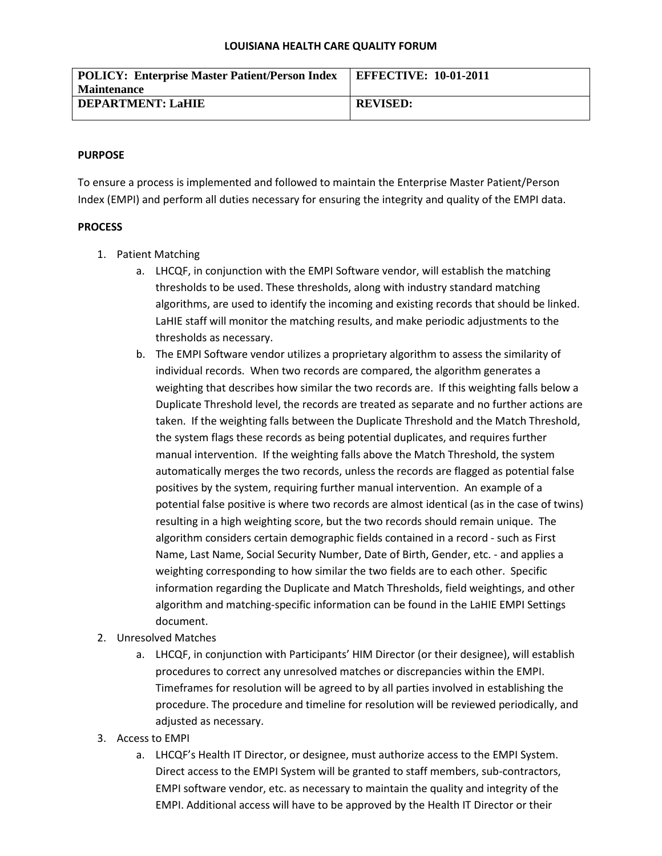#### **LOUISIANA HEALTH CARE QUALITY FORUM**

| <b>POLICY: Enterprise Master Patient/Person Index</b> | <b>EFFECTIVE: 10-01-2011</b> |
|-------------------------------------------------------|------------------------------|
| <b>Maintenance</b>                                    |                              |
| <b>DEPARTMENT: LaHIE</b>                              | <b>REVISED:</b>              |
|                                                       |                              |

### **PURPOSE**

To ensure a process is implemented and followed to maintain the Enterprise Master Patient/Person Index (EMPI) and perform all duties necessary for ensuring the integrity and quality of the EMPI data.

### **PROCESS**

- 1. Patient Matching
	- a. LHCQF, in conjunction with the EMPI Software vendor, will establish the matching thresholds to be used. These thresholds, along with industry standard matching algorithms, are used to identify the incoming and existing records that should be linked. LaHIE staff will monitor the matching results, and make periodic adjustments to the thresholds as necessary.
	- b. The EMPI Software vendor utilizes a proprietary algorithm to assess the similarity of individual records. When two records are compared, the algorithm generates a weighting that describes how similar the two records are. If this weighting falls below a Duplicate Threshold level, the records are treated as separate and no further actions are taken. If the weighting falls between the Duplicate Threshold and the Match Threshold, the system flags these records as being potential duplicates, and requires further manual intervention. If the weighting falls above the Match Threshold, the system automatically merges the two records, unless the records are flagged as potential false positives by the system, requiring further manual intervention. An example of a potential false positive is where two records are almost identical (as in the case of twins) resulting in a high weighting score, but the two records should remain unique. The algorithm considers certain demographic fields contained in a record - such as First Name, Last Name, Social Security Number, Date of Birth, Gender, etc. - and applies a weighting corresponding to how similar the two fields are to each other. Specific information regarding the Duplicate and Match Thresholds, field weightings, and other algorithm and matching-specific information can be found in the LaHIE EMPI Settings document.
- 2. Unresolved Matches
	- a. LHCQF, in conjunction with Participants' HIM Director (or their designee), will establish procedures to correct any unresolved matches or discrepancies within the EMPI. Timeframes for resolution will be agreed to by all parties involved in establishing the procedure. The procedure and timeline for resolution will be reviewed periodically, and adjusted as necessary.
- 3. Access to EMPI
	- a. LHCQF's Health IT Director, or designee, must authorize access to the EMPI System. Direct access to the EMPI System will be granted to staff members, sub-contractors, EMPI software vendor, etc. as necessary to maintain the quality and integrity of the EMPI. Additional access will have to be approved by the Health IT Director or their